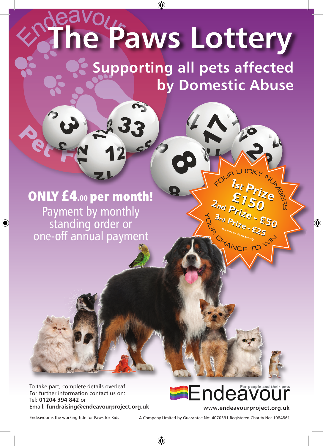## **The Paws Lottery**

**Supporting all pets affected by Domestic Abuse**

## ONLY £4.00 per month! Payment by monthly standing order or one-off annual payment

To take part, complete details overleaf. For further information contact us on: Tel: **01204 394 842** or



**ANGET** 

Endeavour is the working title for Paws for Kids A Company Limited by Guarantee No: 4070391 Registered Charity No: 1084861